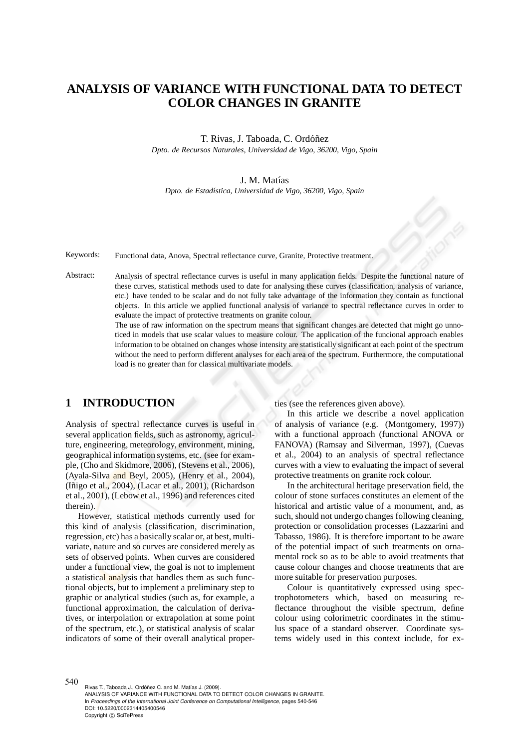# **ANALYSIS OF VARIANCE WITH FUNCTIONAL DATA TO DETECT COLOR CHANGES IN GRANITE**

T. Rivas, J. Taboada, C. Ordóñez *Dpto. de Recursos Naturales, Universidad de Vigo, 36200, Vigo, Spain*

#### J. M. Matías

*Dpto. de Estad´ıstica, Universidad de Vigo, 36200, Vigo, Spain*

Keywords: Functional data, Anova, Spectral reflectance curve, Granite, Protective treatment.

Abstract: Analysis of spectral reflectance curves is useful in many application fields. Despite the functional nature of these curves, statistical methods used to date for analysing these curves (classification, analysis of variance, etc.) have tended to be scalar and do not fully take advantage of the information they contain as functional objects. In this article we applied functional analysis of variance to spectral reflectance curves in order to evaluate the impact of protective treatments on granite colour.

The use of raw information on the spectrum means that significant changes are detected that might go unnoticed in models that use scalar values to measure colour. The application of the funcional approach enables information to be obtained on changes whose intensity are statistically significant at each point of the spectrum without the need to perform different analyses for each area of the spectrum. Furthermore, the computational load is no greater than for classical multivariate models.

## **1 INTRODUCTION**

Analysis of spectral reflectance curves is useful in several application fields, such as astronomy, agriculture, engineering, meteorology, environment, mining, geographical information systems, etc. (see for example, (Cho and Skidmore, 2006), (Stevens et al., 2006), (Ayala-Silva and Beyl, 2005), (Henry et al., 2004), (Iñigo et al., 2004), (Lacar et al., 2001), (Richardson et al., 2001), (Lebow et al., 1996) and references cited therein).

However, statistical methods currently used for this kind of analysis (classification, discrimination, regression, etc) has a basically scalar or, at best, multivariate, nature and so curves are considered merely as sets of observed points. When curves are considered under a functional view, the goal is not to implement a statistical analysis that handles them as such functional objects, but to implement a preliminary step to graphic or analytical studies (such as, for example, a functional approximation, the calculation of derivatives, or interpolation or extrapolation at some point of the spectrum, etc.), or statistical analysis of scalar indicators of some of their overall analytical properties (see the references given above).

In this article we describe a novel application of analysis of variance (e.g. (Montgomery, 1997)) with a functional approach (functional ANOVA or FANOVA) (Ramsay and Silverman, 1997), (Cuevas et al., 2004) to an analysis of spectral reflectance curves with a view to evaluating the impact of several protective treatments on granite rock colour.

In the architectural heritage preservation field, the colour of stone surfaces constitutes an element of the historical and artistic value of a monument, and, as such, should not undergo changes following cleaning, protection or consolidation processes (Lazzarini and Tabasso, 1986). It is therefore important to be aware of the potential impact of such treatments on ornamental rock so as to be able to avoid treatments that cause colour changes and choose treatments that are more suitable for preservation purposes.

Colour is quantitatively expressed using spectrophotometers which, based on measuring reflectance throughout the visible spectrum, define colour using colorimetric coordinates in the stimulus space of a standard observer. Coordinate systems widely used in this context include, for ex-

540 Rivas T., Taboada J., Ordóñez C. and M. Matías J. (2009). ANALYSIS OF VARIANCE WITH FUNCTIONAL DATA TO DETECT COLOR CHANGES IN GRANITE. In *Proceedings of the International Joint Conference on Computational Intelligence*, pages 540-546 DOI: 10.5220/0002314405400546 Copyright © SciTePress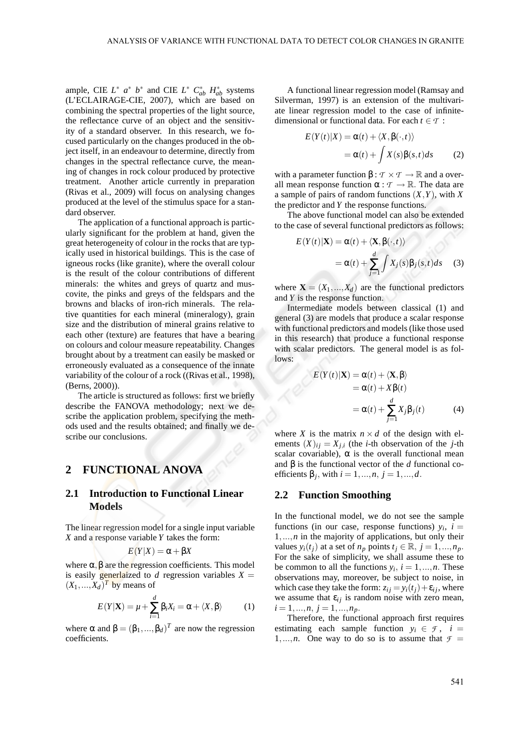ample, CIE  $L^*$   $a^*$   $b^*$  and CIE  $L^*$   $C^*_{ab}$   $H^*_{ab}$  systems (L'ECLAIRAGE-CIE, 2007), which are based on combining the spectral properties of the light source, the reflectance curve of an object and the sensitivity of a standard observer. In this research, we focused particularly on the changes produced in the object itself, in an endeavour to determine, directly from changes in the spectral reflectance curve, the meaning of changes in rock colour produced by protective treatment. Another article currently in preparation (Rivas et al., 2009) will focus on analysing changes produced at the level of the stimulus space for a standard observer.

The application of a functional approach is particularly significant for the problem at hand, given the great heterogeneity of colour in the rocks that are typically used in historical buildings. This is the case of igneous rocks (like granite), where the overall colour is the result of the colour contributions of different minerals: the whites and greys of quartz and muscovite, the pinks and greys of the feldspars and the browns and blacks of iron-rich minerals. The relative quantities for each mineral (mineralogy), grain size and the distribution of mineral grains relative to each other (texture) are features that have a bearing on colours and colour measure repeatability. Changes brought about by a treatment can easily be masked or erroneously evaluated as a consequence of the innate variability of the colour of a rock ((Rivas et al., 1998), (Berns, 2000)).

The article is structured as follows: first we briefly describe the FANOVA methodology; next we describe the application problem, specifying the methods used and the results obtained; and finally we describe our conclusions.

### **2 FUNCTIONAL ANOVA**

### **2.1 Introduction to Functional Linear Models**

The linear regression model for a single input variable *X* and a response variable *Y* takes the form:

$$
E(Y|X) = \alpha + \beta X
$$

where  $\alpha$ ,  $\beta$  are the regression coefficients. This model is easily **generlaized** to *d* regression variables  $X =$  $(X_1,...,X_d)^T$  by means of

$$
E(Y|\mathbf{X}) = \mu + \sum_{i=1}^{d} \beta_i X_i = \alpha + \langle X, \beta \rangle \tag{1}
$$

where  $\alpha$  and  $\beta = (\beta_1, ..., \beta_d)^T$  are now the regression coefficients.

A functional linear regression model (Ramsay and Silverman, 1997) is an extension of the multivariate linear regression model to the case of infinitedimensional or functional data. For each  $t \in \mathcal{T}$ :

$$
E(Y(t)|X) = \alpha(t) + \langle X, \beta(\cdot, t) \rangle
$$
  
=  $\alpha(t) + \int X(s)\beta(s, t)ds$  (2)

with a parameter function  $\beta : \mathcal{T} \times \mathcal{T} \to \mathbb{R}$  and a overall mean response function  $\alpha : \mathcal{T} \to \mathbb{R}$ . The data are a sample of pairs of random functions (*X*,*Y*), with *X* the predictor and *Y* the response functions.

The above functional model can also be extended to the case of several functional predictors as follows:

$$
E(Y(t)|\mathbf{X}) = \alpha(t) + \langle \mathbf{X}, \beta(\cdot, t) \rangle
$$
  
=  $\alpha(t) + \sum_{j=1}^{d} \int X_j(s) \beta_j(s, t) ds$  (3)

where  $\mathbf{X} = (X_1, ..., X_d)$  are the functional predictors and *Y* is the response function.

Intermediate models between classical (1) and general (3) are models that produce a scalar response with functional predictors and models (like those used in this research) that produce a functional response with scalar predictors. The general model is as follows:

$$
E(Y(t)|\mathbf{X}) = \alpha(t) + \langle \mathbf{X}, \beta \rangle
$$
  
= \alpha(t) + X\beta(t)  
= \alpha(t) + \sum\_{j=1}^{d} X\_j \beta\_j(t) (4)

where *X* is the matrix  $n \times d$  of the design with elements  $(X)_{ij} = X_{j,i}$  (the *i*-th observation of the *j*-th scalar covariable),  $\alpha$  is the overall functional mean and β is the functional vector of the *d* functional coefficients β*<sup>j</sup>* , with *i* = 1,...,*n*, *j* = 1,...,*d*.

#### **2.2 Function Smoothing**

In the functional model, we do not see the sample functions (in our case, response functions)  $y_i$ ,  $i =$ 1,...,*n* in the majority of applications, but only their values  $y_i(t_j)$  at a set of  $n_p$  points  $t_j \in \mathbb{R}, j = 1, ..., n_p$ . For the sake of simplicity, we shall assume these to be common to all the functions  $y_i$ ,  $i = 1, ..., n$ . These observations may, moreover, be subject to noise, in which case they take the form:  $z_{ij} = y_i(t_i) + \varepsilon_{ij}$ , where we assume that  $\varepsilon_{ij}$  is random noise with zero mean,  $i = 1, \ldots, n, j = 1, \ldots, n_p.$ 

Therefore, the functional approach first requires estimating each sample function  $y_i \in \mathcal{F}$ ,  $i =$ 1,...,*n*. One way to do so is to assume that  $f =$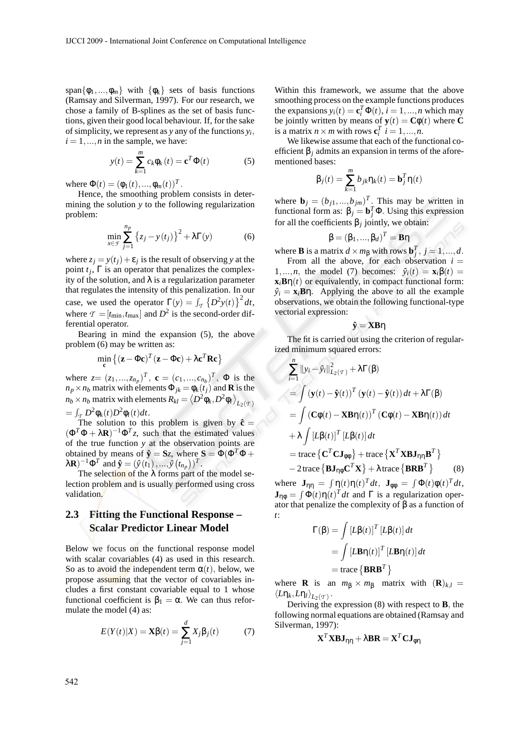span $\{\phi_1, ..., \phi_m\}$  with  $\{\phi_k\}$  sets of basis functions (Ramsay and Silverman, 1997). For our research, we chose a family of B-splines as the set of basis functions, given their good local behaviour. If, for the sake of simplicity, we represent as *y* any of the functions  $y_i$ ,  $i = 1, \ldots, n$  in the sample, we have:

$$
y(t) = \sum_{k=1}^{m} c_k \phi_k(t) = \mathbf{c}^T \Phi(t)
$$
 (5)

where  $\Phi(t) = (\phi_1(t), ..., \phi_m(t))^T$ .

Hence, the smoothing problem consists in determining the solution *y* to the following regularization problem:

$$
\min_{x \in \mathcal{F}} \sum_{j=1}^{n_p} \left\{ z_j - y(t_j) \right\}^2 + \lambda \Gamma(y) \tag{6}
$$

where  $z_j = y(t_j) + \varepsilon_j$  is the result of observing *y* at the point  $t_j$ ,  $\Gamma$  is an operator that penalizes the complexity of the solution, and  $\lambda$  is a regularization parameter that regulates the intensity of this penalization. In our case, we used the operator  $\Gamma(y) = \int_{\mathcal{T}} \left\{ D^2 y(t) \right\}^2 dt$ , where  $\tau = [t_{\text{min}}, t_{\text{max}}]$  and  $D^2$  is the second-order differential operator.

Bearing in mind the expansion (5), the above problem (6) may be written as:

$$
\min_{\mathbf{c}} \left\{ (\mathbf{z} - \Phi \mathbf{c})^T (\mathbf{z} - \Phi \mathbf{c}) + \lambda \mathbf{c}^T \mathbf{R} \mathbf{c} \right\}
$$

where  $z = (z_1, ..., z_{n_p})^T$ ,  $\mathbf{c} = (c_1, ..., c_{n_b})^T$ ,  $\Phi$  is the  $n_p \times n_b$  matrix with elements  $\Phi_{jk} = \phi_k(i_j)$  and **R** is the *n<sub>b</sub>* × *n<sub>b</sub>* matrix with elements  $R_{kl} = \left\langle D^2 \phi_k, D^2 \phi_l \right\rangle_{L_2(\mathcal{I})}$  $=\int_T D^2\phi_k(t)D^2\phi_l(t)dt.$ 

The solution to this problem is given by  $\hat{\mathbf{c}} =$  $(\Phi^T \Phi + \lambda \mathbf{R})^{-1} \Phi^T z$ , such that the estimated values of the true function *y* at the observation points are obtained by means of  $\hat{\mathbf{y}} = \mathbf{S}z$ , where  $\mathbf{S} = \Phi(\Phi^T \Phi + \Phi^T \mathbf{S}^T)$  $\lambda \mathbf{R}$ )<sup>-1</sup> $\Phi^T$  and  $\hat{\mathbf{y}} = (\hat{y}(t_1), ..., \hat{y}(t_{n_p}))^T$ .

The selection of the  $\lambda$  forms part of the model selection problem and is usually performed using cross validation.

### **2.3 Fitting the Functional Response – Scalar Predictor Linear Model**

Below we focus on the functional response model with scalar covariables (4) as used in this research. So as to avoid the independent term  $\alpha(t)$ , below, we propose assuming that the vector of covariables includes a first constant covariable equal to 1 whose functional coefficient is  $\beta_1 = \alpha$ . We can thus reformulate the model (4) as:

$$
E(Y(t)|X) = \mathbf{X}\beta(t) = \sum_{j=1}^{d} X_j \beta_j(t) \tag{7}
$$

Within this framework, we assume that the above smoothing process on the example functions produces the expansions  $y_i(t) = \mathbf{c}_i^T \Phi(t)$ ,  $i = 1, ..., n$  which may be jointly written by means of  $\mathbf{y}(t) = \mathbf{C}\phi(t)$  where **C** is a matrix  $n \times m$  with rows  $\mathbf{c}_i^T$   $i = 1, ..., n$ .

We likewise assume that each of the functional coefficient  $\beta$ <sub>*j*</sub> admits an expansion in terms of the aforementioned bases:

$$
\beta_j(t) = \sum_{k=1}^m b_{jk} \eta_k(t) = \mathbf{b}_j^T \eta(t)
$$

where  $\mathbf{b}_j = (b_{j1},...,b_{jm})^T$ . This may be written in functional form as:  $β_j = b_j^T Φ$ . Using this expression for all the coefficients β*<sup>j</sup>* jointly, we obtain:

$$
\boldsymbol{\beta}=(\beta_1,...,\beta_d)^T=\boldsymbol{B}\boldsymbol{\eta}
$$

where **B** is a matrix  $d \times m_\beta$  with rows  $\mathbf{b}_j^T$ ,  $j = 1, ..., d$ .

From all the above, for each observation  $i =$ 1,...,*n*, the model (7) becomes:  $\hat{y}_i(t) = \mathbf{x}_i \beta(t) =$  $\mathbf{x}_i \mathbf{B} \eta(t)$  or equivalently, in compact functional form:  $\hat{y}_i = \mathbf{x}_i \mathbf{B} \eta$ . Applying the above to all the example observations, we obtain the following functional-type vectorial expression:

$$
\hat{\mathbf{y}} = \mathbf{X}\mathbf{B}\boldsymbol{\eta}
$$

The fit is carried out using the criterion of regularized minimum squared errors:

$$
\sum_{i=1}^{n} ||y_i - \hat{y}_i||_{L_2(\mathcal{T})}^2 + \lambda \Gamma(\beta)
$$
\n
$$
= \int (\mathbf{y}(t) - \hat{\mathbf{y}}(t))^T (\mathbf{y}(t) - \hat{\mathbf{y}}(t)) dt + \lambda \Gamma(\beta)
$$
\n
$$
= \int (\mathbf{C}\phi(t) - \mathbf{X}\mathbf{B}\eta(t))^T (\mathbf{C}\phi(t) - \mathbf{X}\mathbf{B}\eta(t)) dt
$$
\n
$$
+ \lambda \int [L\beta(t)]^T [L\beta(t)] dt
$$
\n
$$
= \text{trace} \{ \mathbf{C}^T \mathbf{C} \mathbf{J}_{\phi\phi} \} + \text{trace} \{ \mathbf{X}^T \mathbf{X} \mathbf{B} \mathbf{J}_{\eta\eta} \mathbf{B}^T \}
$$
\n
$$
- 2 \text{trace} \{ \mathbf{B} \mathbf{J}_{\eta\phi} \mathbf{C}^T \mathbf{X} \} + \lambda \text{trace} \{ \mathbf{B}\mathbf{R}\mathbf{B}^T \} \qquad (8)
$$

where  $\mathbf{J}_{\eta\eta} = \int \eta(t)\eta(t)^T dt$ ,  $\mathbf{J}_{\phi\phi} = \int \Phi(t)\phi(t)^T dt$ ,  $\mathbf{J}_{\eta\phi} = \int \Phi(t) \eta(t)^T dt$  and  $\Gamma$  is a regularization operator that penalize the complexity of  $\beta$  as a function of *t*:

$$
\Gamma(\beta) = \int \left[L\beta(t)\right]^T \left[L\beta(t)\right] dt
$$

$$
= \int \left[L\mathbf{B}\eta(t)\right]^T \left[L\mathbf{B}\eta(t)\right] dt
$$

$$
= \text{trace} \left\{\mathbf{BRB}^T\right\}
$$

where **R** is an  $m_{\beta} \times m_{\beta}$  matrix with  $(\mathbf{R})_{k,l} =$  $\langle L\eta_k,L\eta_l\rangle_{L_2(T)}$ .

Deriving the expression (8) with respect to **B**, the following normal equations are obtained (Ramsay and Silverman, 1997):

$$
\mathbf{X}^T\mathbf{X}\mathbf{B}\mathbf{J}_{\eta\eta}+\lambda\mathbf{B}\mathbf{R}=\mathbf{X}^T\mathbf{C}\mathbf{J}_{\phi\eta}
$$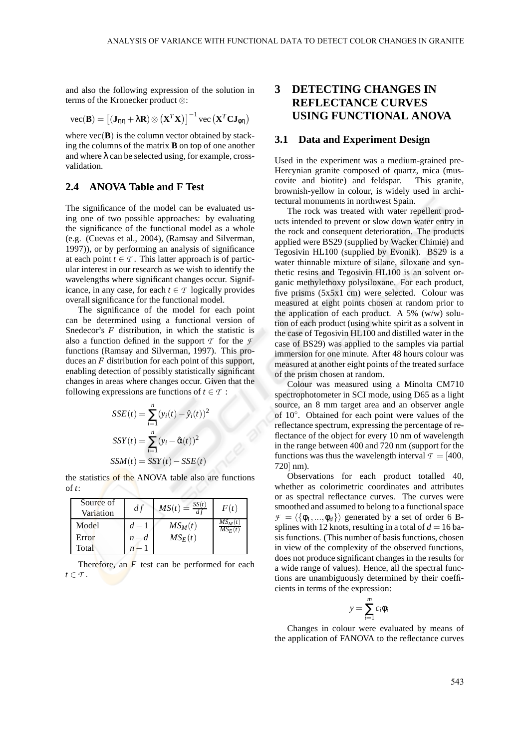and also the following expression of the solution in terms of the Kronecker product ⊗:

$$
\text{vec}(\mathbf{B}) = \left[ (\mathbf{J}_{\eta\eta} + \lambda \mathbf{R}) \otimes (\mathbf{X}^T \mathbf{X}) \right]^{-1} \text{vec}(\mathbf{X}^T \mathbf{C} \mathbf{J}_{\phi\eta})
$$

where  $vec(\mathbf{B})$  is the column vector obtained by stacking the columns of the matrix **B** on top of one another and where  $\lambda$  can be selected using, for example, crossvalidation.

### **2.4 ANOVA Table and F Test**

The significance of the model can be evaluated using one of two possible approaches: by evaluating the significance of the functional model as a whole (e.g. (Cuevas et al., 2004), (Ramsay and Silverman, 1997)), or by performing an analysis of significance at each point  $t \in \mathcal{T}$ . This latter approach is of particular interest in our research as we wish to identify the wavelengths where significant changes occur. Significance, in any case, for each  $t \in \mathcal{T}$  logically provides overall significance for the functional model.

The significance of the model for each point can be determined using a functional version of Snedecor's *F* distribution, in which the statistic is also a function defined in the support  $\tau$  for the  $\tau$ functions (Ramsay and Silverman, 1997). This produces an *F* distribution for each point of this support, enabling detection of possibly statistically significant changes in areas where changes occur. Given that the following expressions are functions of  $t \in \mathcal{T}$ :

$$
SSE(t) = \sum_{i=1}^{n} (y_i(t) - \hat{y}_i(t))^2
$$

$$
SSY(t) = \sum_{i=1}^{n} (y_i - \hat{\alpha}(t))^2
$$

$$
SSM(t) = SSY(t) - SSE(t)
$$

the statistics of the ANOVA table also are functions of *t*:

| Source of<br>Variation | df      | $MS(t) = \frac{SS(t)}{df}$ | F(t)                   |
|------------------------|---------|----------------------------|------------------------|
| Model                  | $d-1$   | $MS_M(t)$                  | $MS_M(t)$<br>$MS_E(t)$ |
| Error                  | $n - d$ | $MS_E(t)$                  |                        |
| Total                  |         |                            |                        |

Therefore, an *F* test can be performed for each  $t \in \mathcal{T}$ .

## **3 DETECTING CHANGES IN REFLECTANCE CURVES USING FUNCTIONAL ANOVA**

#### **3.1 Data and Experiment Design**

Used in the experiment was a medium-grained pre-Hercynian granite composed of quartz, mica (muscovite and biotite) and feldspar. This granite, brownish-yellow in colour, is widely used in architectural monuments in northwest Spain.

The rock was treated with water repellent products intended to prevent or slow down water entry in the rock and consequent deterioration. The products applied were BS29 (supplied by Wacker Chimie) and Tegosivin HL100 (supplied by Evonik). BS29 is a water thinnable mixture of silane, siloxane and synthetic resins and Tegosivin HL100 is an solvent organic methylethoxy polysiloxane. For each product, five prisms (5x5x1 cm) were selected. Colour was measured at eight points chosen at random prior to the application of each product. A 5%  $(w/w)$  solution of each product (using white spirit as a solvent in the case of Tegosivin HL100 and distilled water in the case of BS29) was applied to the samples via partial immersion for one minute. After 48 hours colour was measured at another eight points of the treated surface of the prism chosen at random.

Colour was measured using a Minolta CM710 spectrophotometer in SCI mode, using D65 as a light source, an 8 mm target area and an observer angle of 10◦ . Obtained for each point were values of the reflectance spectrum, expressing the percentage of reflectance of the object for every 10 nm of wavelength in the range between 400 and 720 nm (support for the functions was thus the wavelength interval  $\tau = [400,$ 720] nm).

Observations for each product totalled 40, whether as colorimetric coordinates and attributes or as spectral reflectance curves. The curves were smoothed and assumed to belong to a functional space  $\mathcal{F} = \langle {\phi_1, ..., \phi_d} \rangle$  generated by a set of order 6 Bsplines with 12 knots, resulting in a total of  $d = 16$  basis functions. (This number of basis functions, chosen in view of the complexity of the observed functions, does not produce significant changes in the results for a wide range of values). Hence, all the spectral functions are unambiguously determined by their coefficients in terms of the expression:

$$
y = \sum_{i=1}^{m} c_i \phi_i
$$

Changes in colour were evaluated by means of the application of FANOVA to the reflectance curves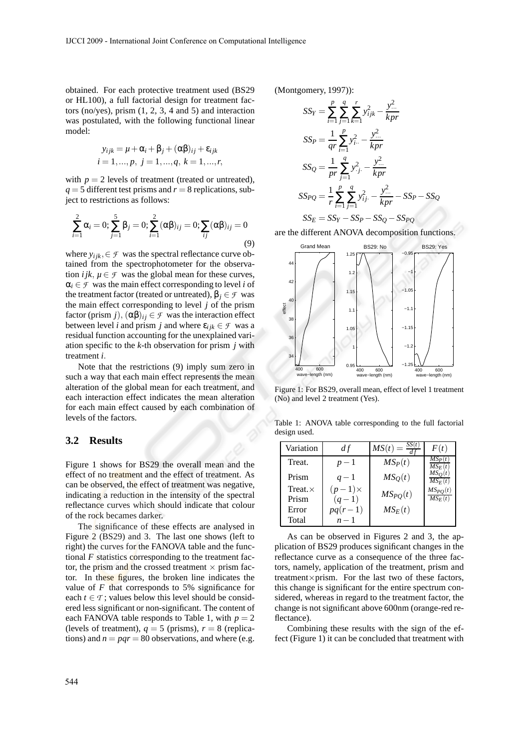obtained. For each protective treatment used (BS29 or HL100), a full factorial design for treatment factors (no/yes), prism (1, 2, 3, 4 and 5) and interaction was postulated, with the following functional linear model:

$$
y_{ijk} = \mu + \alpha_i + \beta_j + (\alpha \beta)_{ij} + \varepsilon_{ijk}
$$
  

$$
i = 1, ..., p, j = 1, ..., q, k = 1, ..., r,
$$

with  $p = 2$  levels of treatment (treated or untreated),  $q = 5$  different test prisms and  $r = 8$  replications, subject to restrictions as follows:

$$
\sum_{i=1}^{2} \alpha_i = 0; \sum_{j=1}^{5} \beta_j = 0; \sum_{i=1}^{2} (\alpha \beta)_{ij} = 0; \sum_{ij} (\alpha \beta)_{ij} = 0
$$
\n(9)

where  $y_{ijk} \in \mathcal{F}$  was the spectral reflectance curve obtained from the spectrophotometer for the observation *i jk*,  $\mu \in \mathcal{F}$  was the global mean for these curves,  $\alpha_i \in \mathcal{F}$  was the main effect corresponding to level *i* of the treatment factor (treated or untreated),  $β<sub>i</sub> ∈ F$  was the main effect corresponding to level *j* of the prism factor (prism *j*),  $(\alpha \beta)_{ij} \in \mathcal{F}$  was the interaction effect between level *i* and prism *j* and where  $\varepsilon_{ijk} \in \mathcal{F}$  was a residual function accounting for the unexplained variation specific to the *k*-th observation for prism *j* with treatment *i*.

Note that the restrictions (9) imply sum zero in such a way that each main effect represents the mean alteration of the global mean for each treatment, and each interaction effect indicates the mean alteration for each main effect caused by each combination of levels of the factors.

#### **3.2 Results**

Figure 1 shows for BS29 the overall mean and the effect of no treatment and the effect of treatment. As can be observed, the effect of treatment was negative, indicating a reduction in the intensity of the spectral reflectance curves which should indicate that colour of the rock becames darker.

The significance of these effects are analysed in Figure 2 (BS29) and 3. The last one shows (left to right) the curves for the FANOVA table and the functional  $F$  statistics corresponding to the treatment factor, the prism and the crossed treatment  $\times$  prism factor. In these figures, the broken line indicates the value of  $F$  that corresponds to 5% significance for each  $t \in \mathcal{T}$ ; values below this level should be considered less significant or non-significant. The content of each FANOVA table responds to Table 1, with  $p = 2$ (levels of treatment),  $q = 5$  (prisms),  $r = 8$  (replications) and  $n = pqr = 80$  observations, and where (e.g. (Montgomery, 1997)):

$$
SS_{Y} = \sum_{i=1}^{p} \sum_{j=1}^{q} \sum_{k=1}^{r} y_{ijk}^{2} - \frac{y_{...}^{2}}{kpr}
$$
  
\n
$$
SS_{P} = \frac{1}{qr} \sum_{i=1}^{p} y_{i..}^{2} - \frac{y_{...}^{2}}{kpr}
$$
  
\n
$$
SS_{Q} = \frac{1}{pr} \sum_{j=1}^{q} y_{.j.}^{2} - \frac{y_{...}^{2}}{kpr}
$$
  
\n
$$
SS_{PQ} = \frac{1}{r} \sum_{i=1}^{p} \sum_{j=1}^{q} y_{ij.}^{2} - \frac{y_{...}^{2}}{kpr} - SS_{P} - SS_{Q}
$$
  
\n
$$
SS_{E} = SS_{Y} - SS_{P} - SS_{Q} - SS_{PQ}
$$

are the different ANOVA decomposition functions.



Figure 1: For BS29, overall mean, effect of level 1 treatment (No) and level 2 treatment (Yes).

Table 1: ANOVA table corresponding to the full factorial design used.

| Variation       | d f           | $MS(t) = \frac{S_t}{t}$ | F(t)                     |
|-----------------|---------------|-------------------------|--------------------------|
| Treat.          | $p-1$         | $MS_P(t)$               | $MS_{P}(t)$<br>$MS_F(t)$ |
| Prism           | $q-1$         | $MS_O(t)$               | MSO<br>$MS_F(t)$         |
| Treat. $\times$ | $(p-1)\times$ | $MS_{PO}(t)$            | $MS_{PQ}(t)$             |
| Prism           | $(q-1)$       |                         | $MS_F(t)$                |
| Error           | $pq(r-1)$     | $MS_E(t)$               |                          |
| Total           | $n-1$         |                         |                          |

As can be observed in Figures 2 and 3, the application of BS29 produces significant changes in the reflectance curve as a consequence of the three factors, namely, application of the treatment, prism and treatment×prism. For the last two of these factors, this change is significant for the entire spectrum considered, whereas in regard to the treatment factor, the change is not significant above 600nm (orange-red reflectance).

Combining these results with the sign of the effect (Figure 1) it can be concluded that treatment with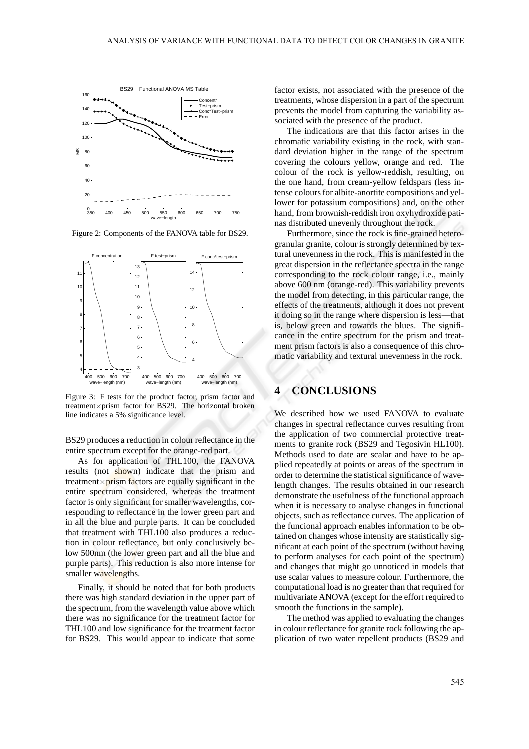

Figure 2: Components of the FANOVA table for BS29.



Figure 3: F tests for the product factor, prism factor and treatment×prism factor for BS29. The horizontal broken line indicates a 5% significance level.

BS29 produces a reduction in colour reflectance in the entire spectrum except for the orange-red part.

As for application of THL100, the FANOVA results (not shown) indicate that the prism and treatment $\times$ prism factors are equally significant in the entire spectrum considered, whereas the treatment factor is only significant for smaller wavelengths, corresponding to reflectance in the lower green part and in all the blue and purple parts. It can be concluded that treatment with THL100 also produces a reduction in colour reflectance, but only conclusively below 500nm (the lower green part and all the blue and purple parts). This reduction is also more intense for smaller wavelengths.

Finally, it should be noted that for both products there was high standard deviation in the upper part of the spectrum, from the wavelength value above which there was no significance for the treatment factor for THL100 and low significance for the treatment factor for BS29. This would appear to indicate that some factor exists, not associated with the presence of the treatments, whose dispersion in a part of the spectrum prevents the model from capturing the variability associated with the presence of the product.

The indications are that this factor arises in the chromatic variability existing in the rock, with standard deviation higher in the range of the spectrum covering the colours yellow, orange and red. The colour of the rock is yellow-reddish, resulting, on the one hand, from cream-yellow feldspars (less intense colours for albite-anortite compositions and yellower for potassium compositions) and, on the other hand, from brownish-reddish iron oxyhydroxide patinas distributed unevenly throughout the rock.

Furthermore, since the rock is fine-grained heterogranular granite, colour is strongly determined by textural unevenness in the rock. This is manifested in the great dispersion in the reflectance spectra in the range corresponding to the rock colour range, i.e., mainly above 600 nm (orange-red). This variability prevents the model from detecting, in this particular range, the effects of the treatments, although it does not prevent it doing so in the range where dispersion is less—that is, below green and towards the blues. The significance in the entire spectrum for the prism and treatment prism factors is also a consequence of this chromatic variability and textural unevenness in the rock.

## **4 CONCLUSIONS**

We described how we used FANOVA to evaluate changes in spectral reflectance curves resulting from the application of two commercial protective treatments to granite rock (BS29 and Tegosivin HL100). Methods used to date are scalar and have to be applied repeatedly at points or areas of the spectrum in order to determine the statistical significance of wavelength changes. The results obtained in our research demonstrate the usefulness of the functional approach when it is necessary to analyse changes in functional objects, such as reflectance curves. The application of the funcional approach enables information to be obtained on changes whose intensity are statistically significant at each point of the spectrum (without having to perform analyses for each point of the spectrum) and changes that might go unnoticed in models that use scalar values to measure colour. Furthermore, the computational load is no greater than that required for multivariate ANOVA (except for the effort required to smooth the functions in the sample).

The method was applied to evaluating the changes in colour reflectance for granite rock following the application of two water repellent products (BS29 and